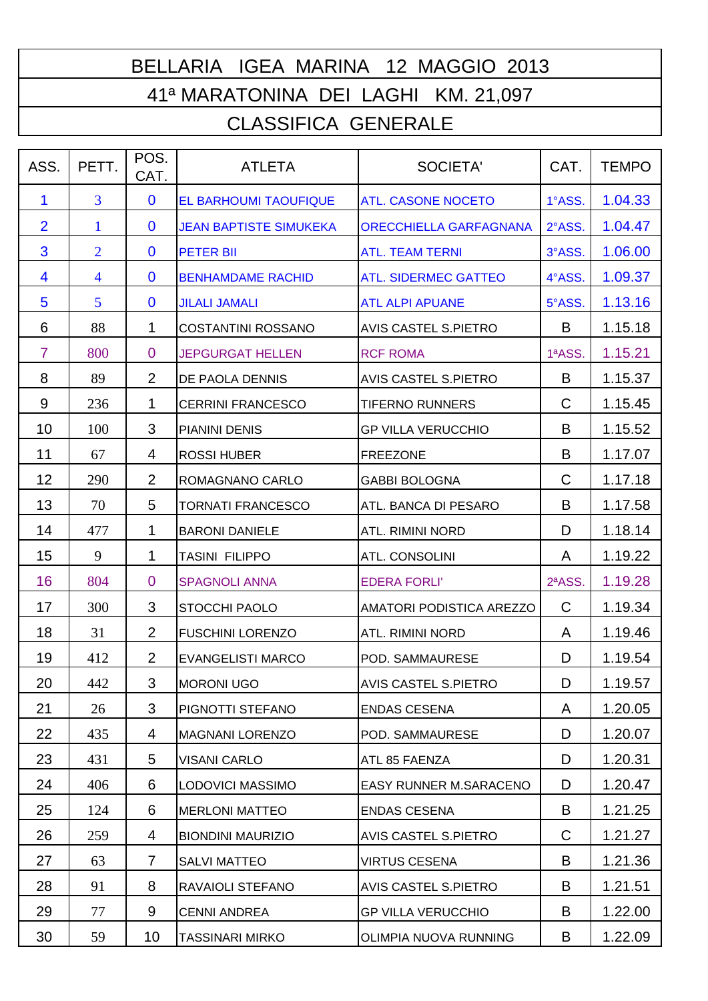## BELLARIA IGEA MARINA 12 MAGGIO 2013 41ª MARATONINA DEI LAGHI KM. 21,097

## CLASSIFICA GENERALE

| ASS.           | PETT.          | POS.<br>CAT.   | <b>ATLETA</b>                 | <b>SOCIETA'</b>             | CAT.   | <b>TEMPO</b> |
|----------------|----------------|----------------|-------------------------------|-----------------------------|--------|--------------|
| 1              | $\overline{3}$ | $\mathbf 0$    | <b>EL BARHOUMI TAOUFIQUE</b>  | <b>ATL. CASONE NOCETO</b>   | 1°ASS. | 1.04.33      |
| $\overline{2}$ | 1              | $\mathbf{0}$   | <b>JEAN BAPTISTE SIMUKEKA</b> | ORECCHIELLA GARFAGNANA      | 2°ASS. | 1.04.47      |
| 3              | $\overline{2}$ | $\mathbf{0}$   | <b>PETER BII</b>              | <b>ATL. TEAM TERNI</b>      | 3°ASS. | 1.06.00      |
| 4              | $\overline{4}$ | $\mathbf 0$    | <b>BENHAMDAME RACHID</b>      | <b>ATL. SIDERMEC GATTEO</b> | 4°ASS. | 1.09.37      |
| 5              | 5              | $\mathbf{0}$   | <b>JILALI JAMALI</b>          | <b>ATL ALPI APUANE</b>      | 5°ASS. | 1.13.16      |
| 6              | 88             | 1              | <b>COSTANTINI ROSSANO</b>     | <b>AVIS CASTEL S.PIETRO</b> | B      | 1.15.18      |
| $\overline{7}$ | 800            | $\overline{0}$ | <b>JEPGURGAT HELLEN</b>       | <b>RCF ROMA</b>             | 1ªASS. | 1.15.21      |
| 8              | 89             | $\overline{2}$ | DE PAOLA DENNIS               | <b>AVIS CASTEL S.PIETRO</b> | B      | 1.15.37      |
| 9              | 236            | 1              | <b>CERRINI FRANCESCO</b>      | <b>TIFERNO RUNNERS</b>      | C      | 1.15.45      |
| 10             | 100            | 3              | PIANINI DENIS                 | <b>GP VILLA VERUCCHIO</b>   | B      | 1.15.52      |
| 11             | 67             | $\overline{4}$ | <b>ROSSI HUBER</b>            | <b>FREEZONE</b>             | B      | 1.17.07      |
| 12             | 290            | 2              | ROMAGNANO CARLO               | <b>GABBI BOLOGNA</b>        | C      | 1.17.18      |
| 13             | 70             | 5              | <b>TORNATI FRANCESCO</b>      | ATL. BANCA DI PESARO        | B      | 1.17.58      |
| 14             | 477            | 1              | <b>BARONI DANIELE</b>         | ATL. RIMINI NORD            | D      | 1.18.14      |
| 15             | 9              | 1              | TASINI FILIPPO                | <b>ATL. CONSOLINI</b>       | A      | 1.19.22      |
| 16             | 804            | $\overline{0}$ | <b>SPAGNOLI ANNA</b>          | <b>EDERA FORLI'</b>         | 2ªASS. | 1.19.28      |
| 17             | 300            | 3              | <b>STOCCHI PAOLO</b>          | AMATORI PODISTICA AREZZO    | C      | 1.19.34      |
| 18             | 31             | $\overline{2}$ | <b>FUSCHINI LORENZO</b>       | <b>ATL. RIMINI NORD</b>     | A      | 1.19.46      |
| 19             | 412            | 2              | <b>EVANGELISTI MARCO</b>      | POD. SAMMAURESE             | D      | 1.19.54      |
| 20             | 442            | 3              | <b>MORONI UGO</b>             | <b>AVIS CASTEL S.PIETRO</b> | D      | 1.19.57      |
| 21             | 26             | 3              | PIGNOTTI STEFANO              | <b>ENDAS CESENA</b>         | A      | 1.20.05      |
| 22             | 435            | 4              | <b>MAGNANI LORENZO</b>        | POD. SAMMAURESE             | D      | 1.20.07      |
| 23             | 431            | 5              | <b>VISANI CARLO</b>           | ATL 85 FAENZA               | D      | 1.20.31      |
| 24             | 406            | 6              | LODOVICI MASSIMO              | EASY RUNNER M.SARACENO      | D      | 1.20.47      |
| 25             | 124            | 6              | <b>MERLONI MATTEO</b>         | <b>ENDAS CESENA</b>         | B      | 1.21.25      |
| 26             | 259            | 4              | <b>BIONDINI MAURIZIO</b>      | AVIS CASTEL S.PIETRO        | C      | 1.21.27      |
| 27             | 63             | $\overline{7}$ | <b>SALVI MATTEO</b>           | <b>VIRTUS CESENA</b>        | B      | 1.21.36      |
| 28             | 91             | 8              | RAVAIOLI STEFANO              | AVIS CASTEL S.PIETRO        | B      | 1.21.51      |
| 29             | 77             | 9              | <b>CENNI ANDREA</b>           | <b>GP VILLA VERUCCHIO</b>   | B      | 1.22.00      |
| 30             | 59             | 10             | TASSINARI MIRKO               | OLIMPIA NUOVA RUNNING       | B      | 1.22.09      |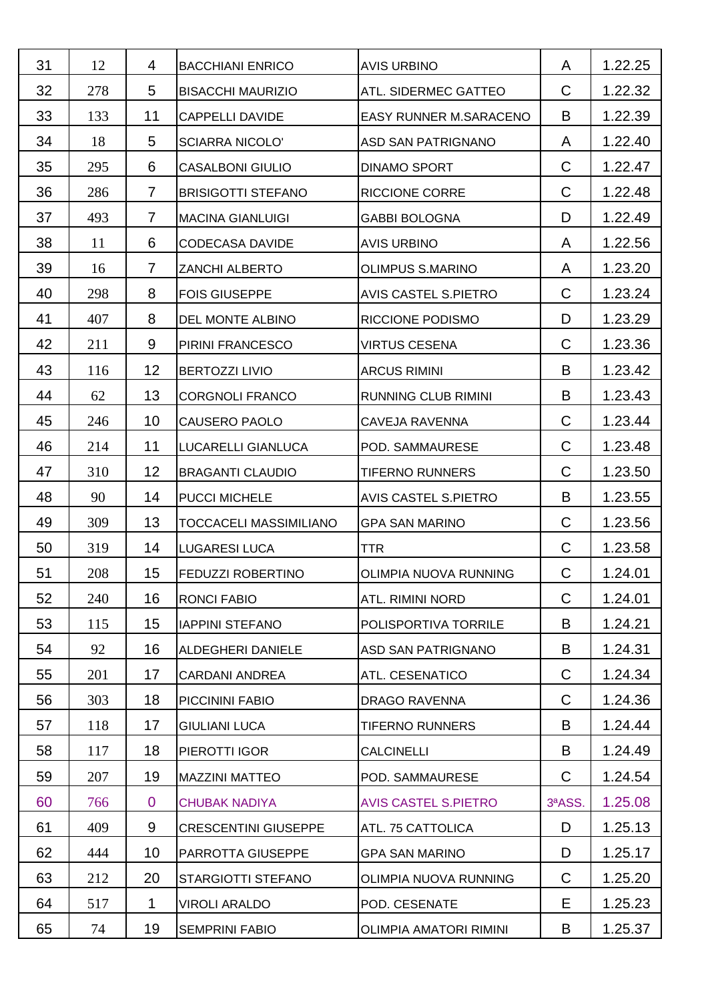| 31 | 12  | 4              | <b>BACCHIANI ENRICO</b>     | <b>AVIS URBINO</b>            | A            | 1.22.25 |
|----|-----|----------------|-----------------------------|-------------------------------|--------------|---------|
| 32 | 278 | 5              | <b>BISACCHI MAURIZIO</b>    | ATL. SIDERMEC GATTEO          | C            | 1.22.32 |
| 33 | 133 | 11             | CAPPELLI DAVIDE             | EASY RUNNER M.SARACENO        | B            | 1.22.39 |
| 34 | 18  | 5              | <b>SCIARRA NICOLO'</b>      | ASD SAN PATRIGNANO            | A            | 1.22.40 |
| 35 | 295 | 6              | <b>CASALBONI GIULIO</b>     | <b>DINAMO SPORT</b>           | $\mathsf{C}$ | 1.22.47 |
| 36 | 286 | $\overline{7}$ | <b>BRISIGOTTI STEFANO</b>   | <b>RICCIONE CORRE</b>         | $\mathsf C$  | 1.22.48 |
| 37 | 493 | $\overline{7}$ | <b>MACINA GIANLUIGI</b>     | <b>GABBI BOLOGNA</b>          | D            | 1.22.49 |
| 38 | 11  | 6              | <b>CODECASA DAVIDE</b>      | <b>AVIS URBINO</b>            | A            | 1.22.56 |
| 39 | 16  | $\overline{7}$ | ZANCHI ALBERTO              | <b>OLIMPUS S.MARINO</b>       | A            | 1.23.20 |
| 40 | 298 | 8              | <b>FOIS GIUSEPPE</b>        | AVIS CASTEL S.PIETRO          | C            | 1.23.24 |
| 41 | 407 | 8              | DEL MONTE ALBINO            | RICCIONE PODISMO              | D            | 1.23.29 |
| 42 | 211 | 9              | PIRINI FRANCESCO            | <b>VIRTUS CESENA</b>          | C            | 1.23.36 |
| 43 | 116 | 12             | <b>BERTOZZI LIVIO</b>       | <b>ARCUS RIMINI</b>           | B            | 1.23.42 |
| 44 | 62  | 13             | <b>CORGNOLI FRANCO</b>      | <b>RUNNING CLUB RIMINI</b>    | B            | 1.23.43 |
| 45 | 246 | 10             | CAUSERO PAOLO               | CAVEJA RAVENNA                | C            | 1.23.44 |
| 46 | 214 | 11             | LUCARELLI GIANLUCA          | POD. SAMMAURESE               | $\mathsf C$  | 1.23.48 |
| 47 | 310 | 12             | <b>BRAGANTI CLAUDIO</b>     | <b>TIFERNO RUNNERS</b>        | C            | 1.23.50 |
| 48 | 90  | 14             | <b>PUCCI MICHELE</b>        | AVIS CASTEL S.PIETRO          | B            | 1.23.55 |
| 49 | 309 | 13             | TOCCACELI MASSIMILIANO      | <b>GPA SAN MARINO</b>         | C            | 1.23.56 |
| 50 | 319 | 14             | <b>LUGARESI LUCA</b>        | <b>TTR</b>                    | C            | 1.23.58 |
| 51 | 208 | 15             | <b>FEDUZZI ROBERTINO</b>    | OLIMPIA NUOVA RUNNING         | $\mathsf C$  | 1.24.01 |
| 52 | 240 | 16             | <b>RONCI FABIO</b>          | <b>ATL. RIMINI NORD</b>       | $\mathsf C$  | 1.24.01 |
| 53 | 115 | 15             | <b>IAPPINI STEFANO</b>      | POLISPORTIVA TORRILE          | B            | 1.24.21 |
| 54 | 92  | 16             | ALDEGHERI DANIELE           | ASD SAN PATRIGNANO            | B            | 1.24.31 |
| 55 | 201 | 17             | <b>CARDANI ANDREA</b>       | ATL. CESENATICO               | C            | 1.24.34 |
| 56 | 303 | 18             | PICCININI FABIO             | <b>DRAGO RAVENNA</b>          | $\mathsf{C}$ | 1.24.36 |
| 57 | 118 | 17             | <b>GIULIANI LUCA</b>        | <b>TIFERNO RUNNERS</b>        | B            | 1.24.44 |
| 58 | 117 | 18             | PIEROTTI IGOR               | <b>CALCINELLI</b>             | B            | 1.24.49 |
| 59 | 207 | 19             | <b>MAZZINI MATTEO</b>       | POD. SAMMAURESE               | C            | 1.24.54 |
| 60 | 766 | $\overline{0}$ | <b>CHUBAK NADIYA</b>        | <b>AVIS CASTEL S.PIETRO</b>   | 3ªASS.       | 1.25.08 |
| 61 | 409 | 9              | <b>CRESCENTINI GIUSEPPE</b> | ATL. 75 CATTOLICA             | D            | 1.25.13 |
| 62 | 444 | 10             | PARROTTA GIUSEPPE           | <b>GPA SAN MARINO</b>         | D            | 1.25.17 |
| 63 | 212 | 20             | STARGIOTTI STEFANO          | OLIMPIA NUOVA RUNNING         | C            | 1.25.20 |
| 64 | 517 | 1              | <b>VIROLI ARALDO</b>        | POD. CESENATE                 | Е            | 1.25.23 |
| 65 | 74  | 19             | <b>SEMPRINI FABIO</b>       | <b>OLIMPIA AMATORI RIMINI</b> | B            | 1.25.37 |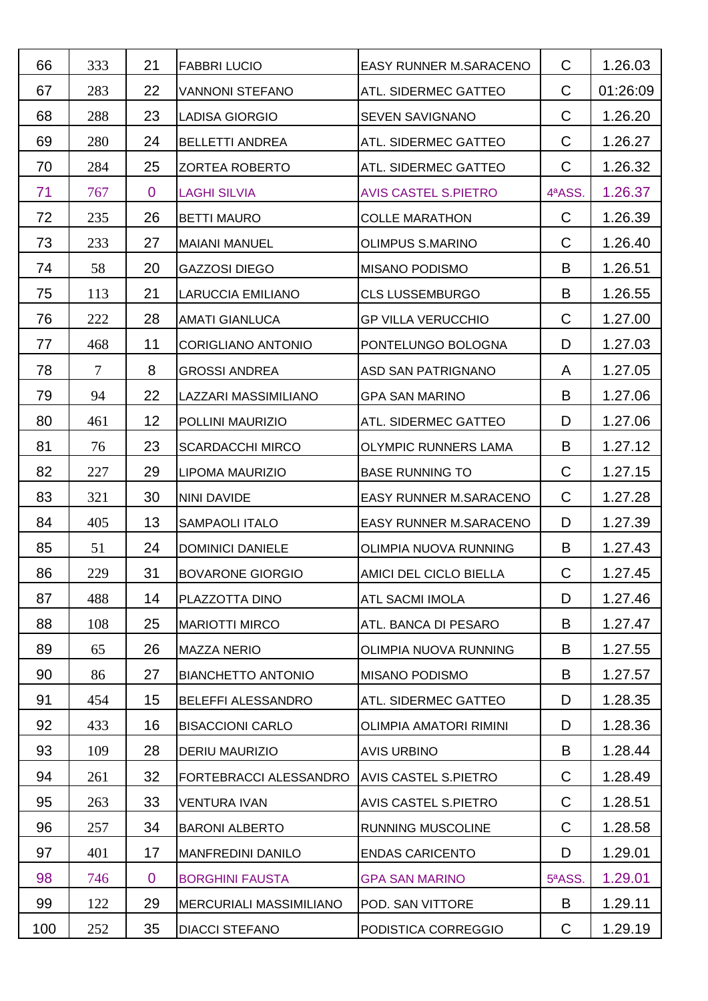| 66  | 333            | 21             | <b>FABBRI LUCIO</b>            | EASY RUNNER M.SARACENO      | C            | 1.26.03  |
|-----|----------------|----------------|--------------------------------|-----------------------------|--------------|----------|
| 67  | 283            | 22             | <b>VANNONI STEFANO</b>         | ATL. SIDERMEC GATTEO        | $\mathsf C$  | 01:26:09 |
| 68  | 288            | 23             | <b>LADISA GIORGIO</b>          | <b>SEVEN SAVIGNANO</b>      | C            | 1.26.20  |
| 69  | 280            | 24             | <b>BELLETTI ANDREA</b>         | ATL. SIDERMEC GATTEO        | C            | 1.26.27  |
| 70  | 284            | 25             | <b>ZORTEA ROBERTO</b>          | ATL. SIDERMEC GATTEO        | C            | 1.26.32  |
| 71  | 767            | $\overline{0}$ | <b>LAGHI SILVIA</b>            | <b>AVIS CASTEL S.PIETRO</b> | 4ªASS.       | 1.26.37  |
| 72  | 235            | 26             | <b>BETTI MAURO</b>             | <b>COLLE MARATHON</b>       | $\mathsf{C}$ | 1.26.39  |
| 73  | 233            | 27             | <b>MAIANI MANUEL</b>           | <b>OLIMPUS S.MARINO</b>     | C            | 1.26.40  |
| 74  | 58             | 20             | <b>GAZZOSI DIEGO</b>           | <b>MISANO PODISMO</b>       | B            | 1.26.51  |
| 75  | 113            | 21             | <b>LARUCCIA EMILIANO</b>       | <b>CLS LUSSEMBURGO</b>      | B            | 1.26.55  |
| 76  | 222            | 28             | <b>AMATI GIANLUCA</b>          | <b>GP VILLA VERUCCHIO</b>   | C            | 1.27.00  |
| 77  | 468            | 11             | <b>CORIGLIANO ANTONIO</b>      | PONTELUNGO BOLOGNA          | D            | 1.27.03  |
| 78  | $\overline{7}$ | 8              | <b>GROSSI ANDREA</b>           | ASD SAN PATRIGNANO          | A            | 1.27.05  |
| 79  | 94             | 22             | LAZZARI MASSIMILIANO           | <b>GPA SAN MARINO</b>       | B            | 1.27.06  |
| 80  | 461            | 12             | POLLINI MAURIZIO               | ATL. SIDERMEC GATTEO        | D            | 1.27.06  |
| 81  | 76             | 23             | <b>SCARDACCHI MIRCO</b>        | OLYMPIC RUNNERS LAMA        | B            | 1.27.12  |
| 82  | 227            | 29             | LIPOMA MAURIZIO                | <b>BASE RUNNING TO</b>      | C            | 1.27.15  |
| 83  | 321            | 30             | <b>NINI DAVIDE</b>             | EASY RUNNER M.SARACENO      | C            | 1.27.28  |
| 84  | 405            | 13             | <b>SAMPAOLI ITALO</b>          | EASY RUNNER M.SARACENO      | D            | 1.27.39  |
| 85  | 51             | 24             | <b>DOMINICI DANIELE</b>        | OLIMPIA NUOVA RUNNING       | B            | 1.27.43  |
| 86  | 229            | 31             | <b>BOVARONE GIORGIO</b>        | AMICI DEL CICLO BIELLA      | C            | 1.27.45  |
| 87  | 488            | 14             | PLAZZOTTA DINO                 | ATL SACMI IMOLA             | D            | 1.27.46  |
| 88  | 108            | 25             | <b>MARIOTTI MIRCO</b>          | ATL. BANCA DI PESARO        | B            | 1.27.47  |
| 89  | 65             | 26             | <b>MAZZA NERIO</b>             | OLIMPIA NUOVA RUNNING       | B            | 1.27.55  |
| 90  | 86             | 27             | <b>BIANCHETTO ANTONIO</b>      | <b>MISANO PODISMO</b>       | B            | 1.27.57  |
| 91  | 454            | 15             | <b>BELEFFI ALESSANDRO</b>      | ATL. SIDERMEC GATTEO        | D            | 1.28.35  |
| 92  | 433            | 16             | <b>BISACCIONI CARLO</b>        | OLIMPIA AMATORI RIMINI      | D            | 1.28.36  |
| 93  | 109            | 28             | <b>DERIU MAURIZIO</b>          | <b>AVIS URBINO</b>          | B            | 1.28.44  |
| 94  | 261            | 32             | FORTEBRACCI ALESSANDRO         | <b>AVIS CASTEL S.PIETRO</b> | C            | 1.28.49  |
| 95  | 263            | 33             | <b>VENTURA IVAN</b>            | AVIS CASTEL S.PIETRO        | C            | 1.28.51  |
| 96  | 257            | 34             | <b>BARONI ALBERTO</b>          | <b>RUNNING MUSCOLINE</b>    | C            | 1.28.58  |
| 97  | 401            | 17             | <b>MANFREDINI DANILO</b>       | <b>ENDAS CARICENTO</b>      | D            | 1.29.01  |
| 98  | 746            | $\overline{0}$ | <b>BORGHINI FAUSTA</b>         | <b>GPA SAN MARINO</b>       | 5ªASS.       | 1.29.01  |
| 99  | 122            | 29             | <b>MERCURIALI MASSIMILIANO</b> | POD. SAN VITTORE            | B            | 1.29.11  |
| 100 | 252            | 35             | <b>DIACCI STEFANO</b>          | PODISTICA CORREGGIO         | C            | 1.29.19  |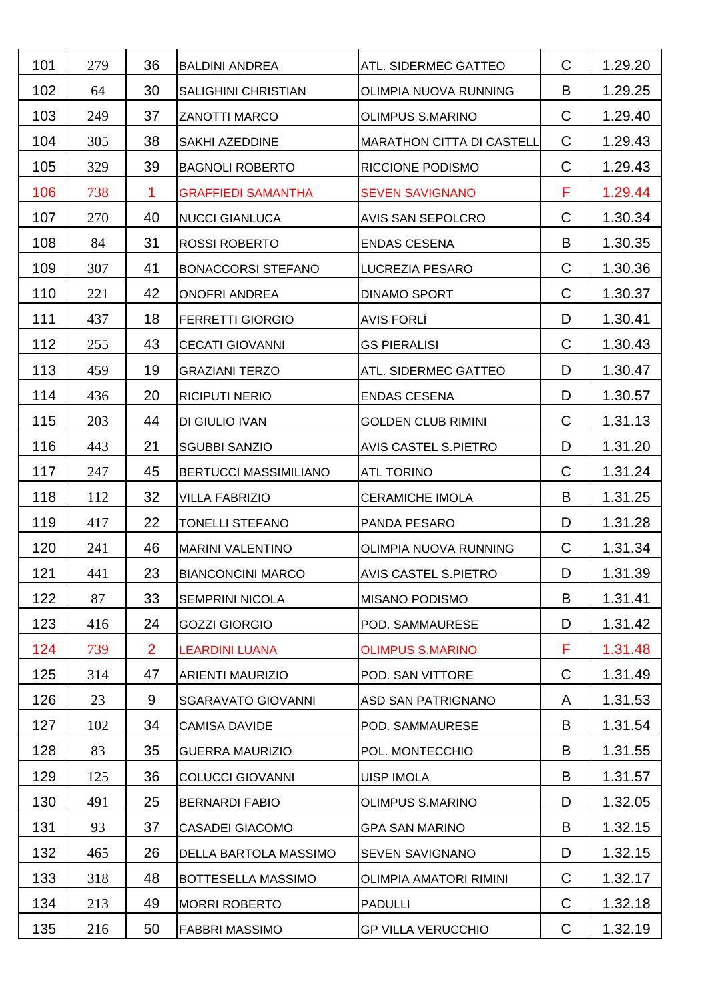| 101 | 279 | 36             | <b>BALDINI ANDREA</b>      | ATL. SIDERMEC GATTEO             | C           | 1.29.20 |
|-----|-----|----------------|----------------------------|----------------------------------|-------------|---------|
| 102 | 64  | 30             | <b>SALIGHINI CHRISTIAN</b> | OLIMPIA NUOVA RUNNING            | B           | 1.29.25 |
| 103 | 249 | 37             | <b>ZANOTTI MARCO</b>       | <b>OLIMPUS S.MARINO</b>          | C           | 1.29.40 |
| 104 | 305 | 38             | SAKHI AZEDDINE             | <b>MARATHON CITTA DI CASTELL</b> | C           | 1.29.43 |
| 105 | 329 | 39             | <b>BAGNOLI ROBERTO</b>     | RICCIONE PODISMO                 | $\mathsf C$ | 1.29.43 |
| 106 | 738 | 1              | <b>GRAFFIEDI SAMANTHA</b>  | <b>SEVEN SAVIGNANO</b>           | F           | 1.29.44 |
| 107 | 270 | 40             | <b>NUCCI GIANLUCA</b>      | AVIS SAN SEPOLCRO                | $\mathsf C$ | 1.30.34 |
| 108 | 84  | 31             | <b>ROSSI ROBERTO</b>       | <b>ENDAS CESENA</b>              | B           | 1.30.35 |
| 109 | 307 | 41             | <b>BONACCORSI STEFANO</b>  | LUCREZIA PESARO                  | C           | 1.30.36 |
| 110 | 221 | 42             | <b>ONOFRI ANDREA</b>       | <b>DINAMO SPORT</b>              | C           | 1.30.37 |
| 111 | 437 | 18             | <b>FERRETTI GIORGIO</b>    | <b>AVIS FORLÍ</b>                | D           | 1.30.41 |
| 112 | 255 | 43             | <b>CECATI GIOVANNI</b>     | <b>GS PIERALISI</b>              | C           | 1.30.43 |
| 113 | 459 | 19             | <b>GRAZIANI TERZO</b>      | ATL. SIDERMEC GATTEO             | D           | 1.30.47 |
| 114 | 436 | 20             | <b>RICIPUTI NERIO</b>      | <b>ENDAS CESENA</b>              | D           | 1.30.57 |
| 115 | 203 | 44             | DI GIULIO IVAN             | <b>GOLDEN CLUB RIMINI</b>        | C           | 1.31.13 |
| 116 | 443 | 21             | <b>SGUBBI SANZIO</b>       | AVIS CASTEL S.PIETRO             | D           | 1.31.20 |
| 117 | 247 | 45             | BERTUCCI MASSIMILIANO      | <b>ATL TORINO</b>                | C           | 1.31.24 |
| 118 | 112 | 32             | <b>VILLA FABRIZIO</b>      | <b>CERAMICHE IMOLA</b>           | B           | 1.31.25 |
| 119 | 417 | 22             | TONELLI STEFANO            | PANDA PESARO                     | D           | 1.31.28 |
| 120 | 241 | 46             | <b>MARINI VALENTINO</b>    | OLIMPIA NUOVA RUNNING            | C           | 1.31.34 |
| 121 | 441 | 23             | <b>BIANCONCINI MARCO</b>   | <b>AVIS CASTEL S.PIETRO</b>      | D           | 1.31.39 |
| 122 | 87  | 33             | <b>SEMPRINI NICOLA</b>     | <b>MISANO PODISMO</b>            | B           | 1.31.41 |
| 123 | 416 | 24             | <b>GOZZI GIORGIO</b>       | POD. SAMMAURESE                  | D           | 1.31.42 |
| 124 | 739 | $\overline{2}$ | <b>LEARDINI LUANA</b>      | <b>OLIMPUS S.MARINO</b>          | F           | 1.31.48 |
| 125 | 314 | 47             | ARIENTI MAURIZIO           | POD. SAN VITTORE                 | C           | 1.31.49 |
| 126 | 23  | 9              | <b>SGARAVATO GIOVANNI</b>  | ASD SAN PATRIGNANO               | A           | 1.31.53 |
| 127 | 102 | 34             | <b>CAMISA DAVIDE</b>       | POD. SAMMAURESE                  | B           | 1.31.54 |
| 128 | 83  | 35             | <b>GUERRA MAURIZIO</b>     | POL. MONTECCHIO                  | B           | 1.31.55 |
| 129 | 125 | 36             | <b>COLUCCI GIOVANNI</b>    | <b>UISP IMOLA</b>                | B           | 1.31.57 |
| 130 | 491 | 25             | <b>BERNARDI FABIO</b>      | <b>OLIMPUS S.MARINO</b>          | D           | 1.32.05 |
| 131 | 93  | 37             | <b>CASADEI GIACOMO</b>     | <b>GPA SAN MARINO</b>            | B           | 1.32.15 |
| 132 | 465 | 26             | DELLA BARTOLA MASSIMO      | <b>SEVEN SAVIGNANO</b>           | D           | 1.32.15 |
| 133 | 318 | 48             | BOTTESELLA MASSIMO         | <b>OLIMPIA AMATORI RIMINI</b>    | C           | 1.32.17 |
| 134 | 213 | 49             | <b>MORRI ROBERTO</b>       | <b>PADULLI</b>                   | C           | 1.32.18 |
| 135 | 216 | 50             | <b>FABBRI MASSIMO</b>      | <b>GP VILLA VERUCCHIO</b>        | C           | 1.32.19 |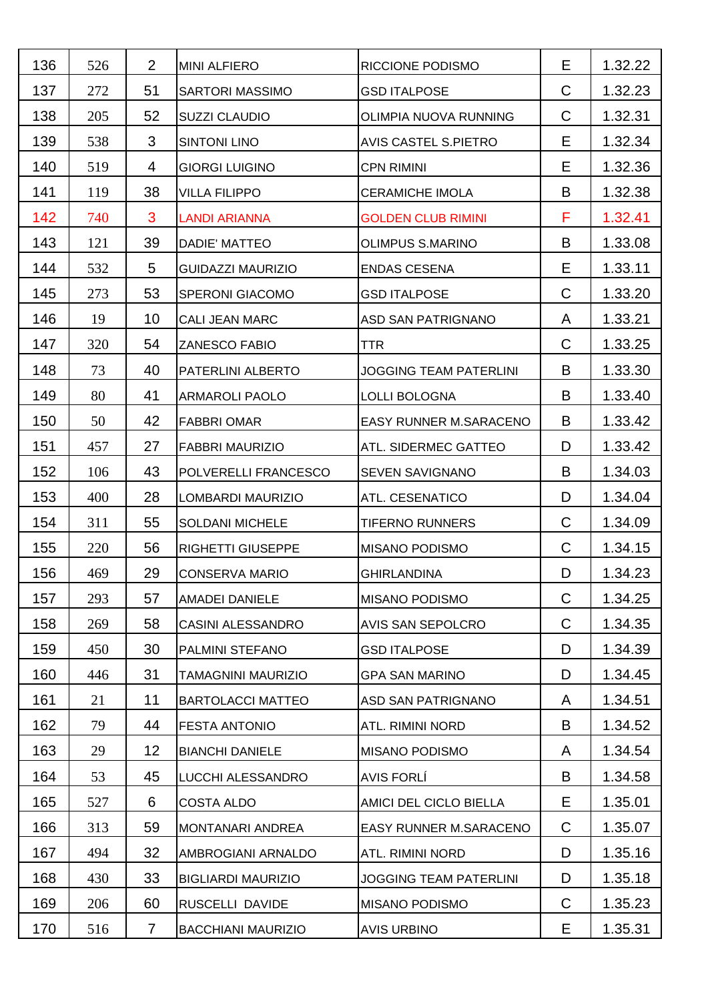| 136 | 526 | $\overline{2}$ | <b>MINI ALFIERO</b>       | RICCIONE PODISMO              | Е            | 1.32.22 |
|-----|-----|----------------|---------------------------|-------------------------------|--------------|---------|
| 137 | 272 | 51             | <b>SARTORI MASSIMO</b>    | <b>GSD ITALPOSE</b>           | $\mathsf C$  | 1.32.23 |
| 138 | 205 | 52             | <b>SUZZI CLAUDIO</b>      | OLIMPIA NUOVA RUNNING         | C            | 1.32.31 |
| 139 | 538 | 3              | <b>SINTONI LINO</b>       | <b>AVIS CASTEL S.PIETRO</b>   | Е            | 1.32.34 |
| 140 | 519 | $\overline{4}$ | <b>GIORGI LUIGINO</b>     | <b>CPN RIMINI</b>             | E            | 1.32.36 |
| 141 | 119 | 38             | VILLA FILIPPO             | <b>CERAMICHE IMOLA</b>        | B            | 1.32.38 |
| 142 | 740 | 3              | <b>LANDI ARIANNA</b>      | <b>GOLDEN CLUB RIMINI</b>     | F            | 1.32.41 |
| 143 | 121 | 39             | DADIE' MATTEO             | <b>OLIMPUS S.MARINO</b>       | B            | 1.33.08 |
| 144 | 532 | 5              | <b>GUIDAZZI MAURIZIO</b>  | <b>ENDAS CESENA</b>           | Е            | 1.33.11 |
| 145 | 273 | 53             | <b>SPERONI GIACOMO</b>    | <b>GSD ITALPOSE</b>           | $\mathsf{C}$ | 1.33.20 |
| 146 | 19  | 10             | <b>CALI JEAN MARC</b>     | ASD SAN PATRIGNANO            | A            | 1.33.21 |
| 147 | 320 | 54             | ZANESCO FABIO             | <b>TTR</b>                    | C            | 1.33.25 |
| 148 | 73  | 40             | PATERLINI ALBERTO         | <b>JOGGING TEAM PATERLINI</b> | B            | 1.33.30 |
| 149 | 80  | 41             | <b>ARMAROLI PAOLO</b>     | <b>LOLLI BOLOGNA</b>          | B            | 1.33.40 |
| 150 | 50  | 42             | <b>FABBRI OMAR</b>        | EASY RUNNER M.SARACENO        | B            | 1.33.42 |
| 151 | 457 | 27             | <b>FABBRI MAURIZIO</b>    | ATL. SIDERMEC GATTEO          | D            | 1.33.42 |
| 152 | 106 | 43             | POLVERELLI FRANCESCO      | SEVEN SAVIGNANO               | B            | 1.34.03 |
| 153 | 400 | 28             | LOMBARDI MAURIZIO         | ATL. CESENATICO               | D            | 1.34.04 |
| 154 | 311 | 55             | <b>SOLDANI MICHELE</b>    | <b>TIFERNO RUNNERS</b>        | C            | 1.34.09 |
| 155 | 220 | 56             | <b>RIGHETTI GIUSEPPE</b>  | <b>MISANO PODISMO</b>         | C            | 1.34.15 |
| 156 | 469 | 29             | <b>CONSERVA MARIO</b>     | <b>GHIRLANDINA</b>            | D            | 1.34.23 |
| 157 | 293 | 57             | AMADEI DANIELE            | <b>MISANO PODISMO</b>         | $\mathsf C$  | 1.34.25 |
| 158 | 269 | 58             | <b>CASINI ALESSANDRO</b>  | AVIS SAN SEPOLCRO             | $\mathsf C$  | 1.34.35 |
| 159 | 450 | 30             | PALMINI STEFANO           | <b>GSD ITALPOSE</b>           | D            | 1.34.39 |
| 160 | 446 | 31             | TAMAGNINI MAURIZIO        | <b>GPA SAN MARINO</b>         | D            | 1.34.45 |
| 161 | 21  | 11             | <b>BARTOLACCI MATTEO</b>  | ASD SAN PATRIGNANO            | A            | 1.34.51 |
| 162 | 79  | 44             | <b>FESTA ANTONIO</b>      | <b>ATL. RIMINI NORD</b>       | B            | 1.34.52 |
| 163 | 29  | 12             | <b>BIANCHI DANIELE</b>    | <b>MISANO PODISMO</b>         | A            | 1.34.54 |
| 164 | 53  | 45             | LUCCHI ALESSANDRO         | <b>AVIS FORLÍ</b>             | B            | 1.34.58 |
| 165 | 527 | 6              | <b>COSTA ALDO</b>         | AMICI DEL CICLO BIELLA        | Е            | 1.35.01 |
| 166 | 313 | 59             | MONTANARI ANDREA          | <b>EASY RUNNER M.SARACENO</b> | C            | 1.35.07 |
| 167 | 494 | 32             | AMBROGIANI ARNALDO        | ATL. RIMINI NORD              | D            | 1.35.16 |
| 168 | 430 | 33             | <b>BIGLIARDI MAURIZIO</b> | <b>JOGGING TEAM PATERLINI</b> | D            | 1.35.18 |
| 169 | 206 | 60             | RUSCELLI DAVIDE           | <b>MISANO PODISMO</b>         | C            | 1.35.23 |
| 170 | 516 | $\overline{7}$ | <b>BACCHIANI MAURIZIO</b> | <b>AVIS URBINO</b>            | Е            | 1.35.31 |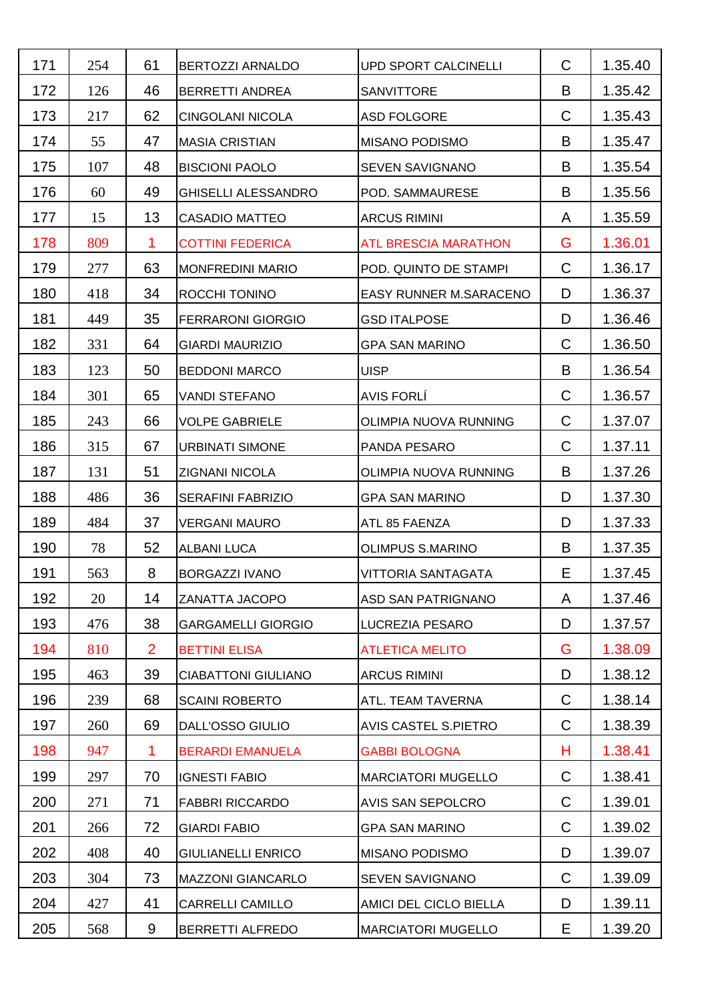| 171 | 254 | 61             | <b>BERTOZZI ARNALDO</b>    | <b>UPD SPORT CALCINELLI</b>   | C            | 1.35.40 |
|-----|-----|----------------|----------------------------|-------------------------------|--------------|---------|
| 172 | 126 | 46             | <b>BERRETTI ANDREA</b>     | <b>SANVITTORE</b>             | B            | 1.35.42 |
| 173 | 217 | 62             | <b>CINGOLANI NICOLA</b>    | <b>ASD FOLGORE</b>            | C            | 1.35.43 |
| 174 | 55  | 47             | <b>MASIA CRISTIAN</b>      | <b>MISANO PODISMO</b>         | B            | 1.35.47 |
| 175 | 107 | 48             | <b>BISCIONI PAOLO</b>      | SEVEN SAVIGNANO               | B            | 1.35.54 |
| 176 | 60  | 49             | <b>GHISELLI ALESSANDRO</b> | POD. SAMMAURESE               | B            | 1.35.56 |
| 177 | 15  | 13             | <b>CASADIO MATTEO</b>      | <b>ARCUS RIMINI</b>           | A            | 1.35.59 |
| 178 | 809 | 1              | <b>COTTINI FEDERICA</b>    | <b>ATL BRESCIA MARATHON</b>   | G            | 1.36.01 |
| 179 | 277 | 63             | <b>MONFREDINI MARIO</b>    | POD. QUINTO DE STAMPI         | C            | 1.36.17 |
| 180 | 418 | 34             | ROCCHI TONINO              | <b>EASY RUNNER M.SARACENO</b> | D            | 1.36.37 |
| 181 | 449 | 35             | <b>FERRARONI GIORGIO</b>   | <b>GSD ITALPOSE</b>           | D            | 1.36.46 |
| 182 | 331 | 64             | <b>GIARDI MAURIZIO</b>     | <b>GPA SAN MARINO</b>         | C            | 1.36.50 |
| 183 | 123 | 50             | <b>BEDDONI MARCO</b>       | <b>UISP</b>                   | B            | 1.36.54 |
| 184 | 301 | 65             | <b>VANDI STEFANO</b>       | <b>AVIS FORLÍ</b>             | C            | 1.36.57 |
| 185 | 243 | 66             | <b>VOLPE GABRIELE</b>      | OLIMPIA NUOVA RUNNING         | C            | 1.37.07 |
| 186 | 315 | 67             | <b>URBINATI SIMONE</b>     | PANDA PESARO                  | C            | 1.37.11 |
| 187 | 131 | 51             | ZIGNANI NICOLA             | OLIMPIA NUOVA RUNNING         | B            | 1.37.26 |
| 188 | 486 | 36             | <b>SERAFINI FABRIZIO</b>   | <b>GPA SAN MARINO</b>         | D            | 1.37.30 |
| 189 | 484 | 37             | <b>VERGANI MAURO</b>       | ATL 85 FAENZA                 | D            | 1.37.33 |
| 190 | 78  | 52             | <b>ALBANI LUCA</b>         | <b>OLIMPUS S.MARINO</b>       | B            | 1.37.35 |
| 191 | 563 | 8              | <b>BORGAZZI IVANO</b>      | VITTORIA SANTAGATA            | E            | 1.37.45 |
| 192 | 20  | 14             | ZANATTA JACOPO             | ASD SAN PATRIGNANO            | A            | 1.37.46 |
| 193 | 476 | 38             | <b>GARGAMELLI GIORGIO</b>  | LUCREZIA PESARO               | D            | 1.37.57 |
| 194 | 810 | $\overline{2}$ | <b>BETTINI ELISA</b>       | <b>ATLETICA MELITO</b>        | G            | 1.38.09 |
| 195 | 463 | 39             | <b>CIABATTONI GIULIANO</b> | <b>ARCUS RIMINI</b>           | D            | 1.38.12 |
| 196 | 239 | 68             | <b>SCAINI ROBERTO</b>      | ATL. TEAM TAVERNA             | $\mathsf{C}$ | 1.38.14 |
| 197 | 260 | 69             | <b>DALL'OSSO GIULIO</b>    | <b>AVIS CASTEL S.PIETRO</b>   | C            | 1.38.39 |
| 198 | 947 | 1              | <b>BERARDI EMANUELA</b>    | <b>GABBI BOLOGNA</b>          | н            | 1.38.41 |
| 199 | 297 | 70             | <b>IGNESTI FABIO</b>       | <b>MARCIATORI MUGELLO</b>     | C            | 1.38.41 |
| 200 | 271 | 71             | <b>FABBRI RICCARDO</b>     | AVIS SAN SEPOLCRO             | C            | 1.39.01 |
| 201 | 266 | 72             | <b>GIARDI FABIO</b>        | <b>GPA SAN MARINO</b>         | C            | 1.39.02 |
| 202 | 408 | 40             | <b>GIULIANELLI ENRICO</b>  | <b>MISANO PODISMO</b>         | D            | 1.39.07 |
| 203 | 304 | 73             | <b>MAZZONI GIANCARLO</b>   | <b>SEVEN SAVIGNANO</b>        | C            | 1.39.09 |
| 204 | 427 | 41             | <b>CARRELLI CAMILLO</b>    | AMICI DEL CICLO BIELLA        | D            | 1.39.11 |
| 205 | 568 | 9              | <b>BERRETTI ALFREDO</b>    | <b>MARCIATORI MUGELLO</b>     | Е            | 1.39.20 |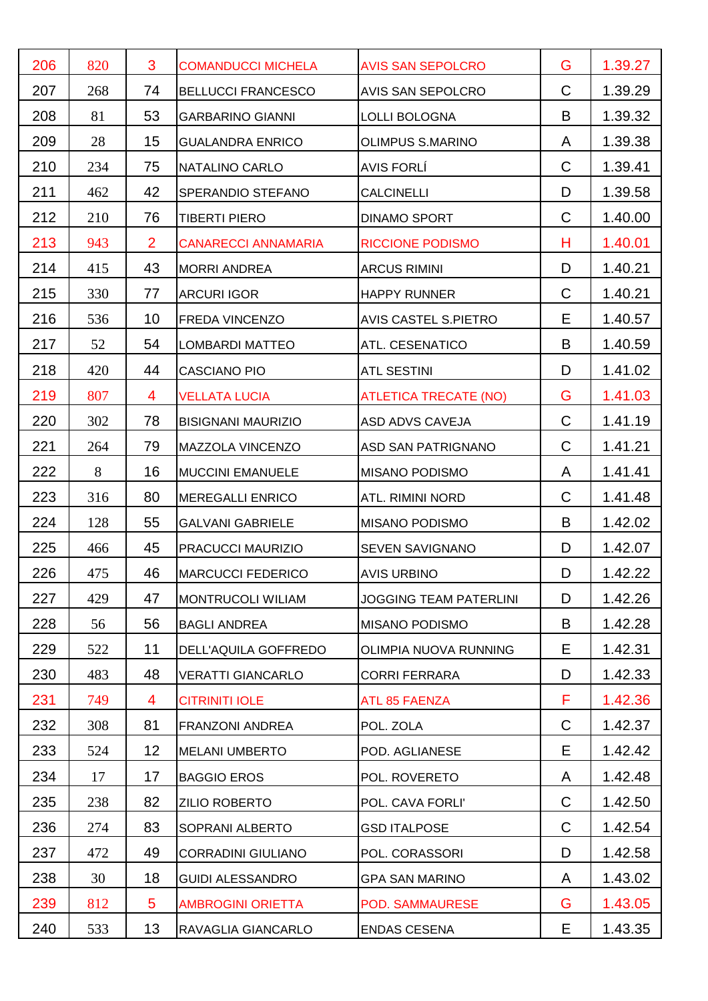| 206 | 820 | 3               | <b>COMANDUCCI MICHELA</b>  | <b>AVIS SAN SEPOLCRO</b>      | G            | 1.39.27 |
|-----|-----|-----------------|----------------------------|-------------------------------|--------------|---------|
| 207 | 268 | 74              | <b>BELLUCCI FRANCESCO</b>  | AVIS SAN SEPOLCRO             | C            | 1.39.29 |
| 208 | 81  | 53              | <b>GARBARINO GIANNI</b>    | <b>LOLLI BOLOGNA</b>          | B            | 1.39.32 |
| 209 | 28  | 15              | <b>GUALANDRA ENRICO</b>    | <b>OLIMPUS S.MARINO</b>       | A            | 1.39.38 |
| 210 | 234 | 75              | NATALINO CARLO             | <b>AVIS FORLÍ</b>             | C            | 1.39.41 |
| 211 | 462 | 42              | SPERANDIO STEFANO          | <b>CALCINELLI</b>             | D            | 1.39.58 |
| 212 | 210 | 76              | <b>TIBERTI PIERO</b>       | <b>DINAMO SPORT</b>           | C            | 1.40.00 |
| 213 | 943 | $\overline{2}$  | <b>CANARECCI ANNAMARIA</b> | <b>RICCIONE PODISMO</b>       | н            | 1.40.01 |
| 214 | 415 | 43              | <b>MORRI ANDREA</b>        | <b>ARCUS RIMINI</b>           | D            | 1.40.21 |
| 215 | 330 | 77              | <b>ARCURI IGOR</b>         | <b>HAPPY RUNNER</b>           | C            | 1.40.21 |
| 216 | 536 | 10              | FREDA VINCENZO             | <b>AVIS CASTEL S.PIETRO</b>   | E            | 1.40.57 |
| 217 | 52  | 54              | <b>LOMBARDI MATTEO</b>     | ATL. CESENATICO               | B            | 1.40.59 |
| 218 | 420 | 44              | <b>CASCIANO PIO</b>        | <b>ATL SESTINI</b>            | D            | 1.41.02 |
| 219 | 807 | $\overline{4}$  | <b>VELLATA LUCIA</b>       | <b>ATLETICA TRECATE (NO)</b>  | G            | 1.41.03 |
| 220 | 302 | 78              | <b>BISIGNANI MAURIZIO</b>  | ASD ADVS CAVEJA               | $\mathsf{C}$ | 1.41.19 |
| 221 | 264 | 79              | MAZZOLA VINCENZO           | ASD SAN PATRIGNANO            | C            | 1.41.21 |
| 222 | 8   | 16              | <b>MUCCINI EMANUELE</b>    | <b>MISANO PODISMO</b>         | A            | 1.41.41 |
| 223 | 316 | 80              | <b>MEREGALLI ENRICO</b>    | <b>ATL. RIMINI NORD</b>       | С            | 1.41.48 |
| 224 | 128 | 55              | <b>GALVANI GABRIELE</b>    | <b>MISANO PODISMO</b>         | B            | 1.42.02 |
| 225 | 466 | 45              | PRACUCCI MAURIZIO          | <b>SEVEN SAVIGNANO</b>        | D            | 1.42.07 |
| 226 | 475 | 46              | <b>MARCUCCI FEDERICO</b>   | <b>AVIS URBINO</b>            | D            | 1.42.22 |
| 227 | 429 | 47              | <b>MONTRUCOLI WILIAM</b>   | <b>JOGGING TEAM PATERLINI</b> | D            | 1.42.26 |
| 228 | 56  | 56              | <b>BAGLI ANDREA</b>        | <b>MISANO PODISMO</b>         | B            | 1.42.28 |
| 229 | 522 | 11              | DELL'AQUILA GOFFREDO       | OLIMPIA NUOVA RUNNING         | Е            | 1.42.31 |
| 230 | 483 | 48              | <b>VERATTI GIANCARLO</b>   | <b>CORRI FERRARA</b>          | D            | 1.42.33 |
| 231 | 749 | 4               | <b>CITRINITI IOLE</b>      | ATL 85 FAENZA                 | F            | 1.42.36 |
| 232 | 308 | 81              | <b>FRANZONI ANDREA</b>     | POL. ZOLA                     | C            | 1.42.37 |
| 233 | 524 | 12              | <b>MELANI UMBERTO</b>      | POD. AGLIANESE                | E            | 1.42.42 |
| 234 | 17  | 17              | <b>BAGGIO EROS</b>         | POL. ROVERETO                 | A            | 1.42.48 |
| 235 | 238 | 82              | <b>ZILIO ROBERTO</b>       | POL. CAVA FORLI'              | C            | 1.42.50 |
| 236 | 274 | 83              | SOPRANI ALBERTO            | <b>GSD ITALPOSE</b>           | C            | 1.42.54 |
| 237 | 472 | 49              | <b>CORRADINI GIULIANO</b>  | POL. CORASSORI                | D            | 1.42.58 |
| 238 | 30  | 18              | <b>GUIDI ALESSANDRO</b>    | <b>GPA SAN MARINO</b>         | A            | 1.43.02 |
| 239 | 812 | $5\phantom{.0}$ | <b>AMBROGINI ORIETTA</b>   | POD. SAMMAURESE               | G            | 1.43.05 |
| 240 | 533 | 13              | RAVAGLIA GIANCARLO         | <b>ENDAS CESENA</b>           | Е            | 1.43.35 |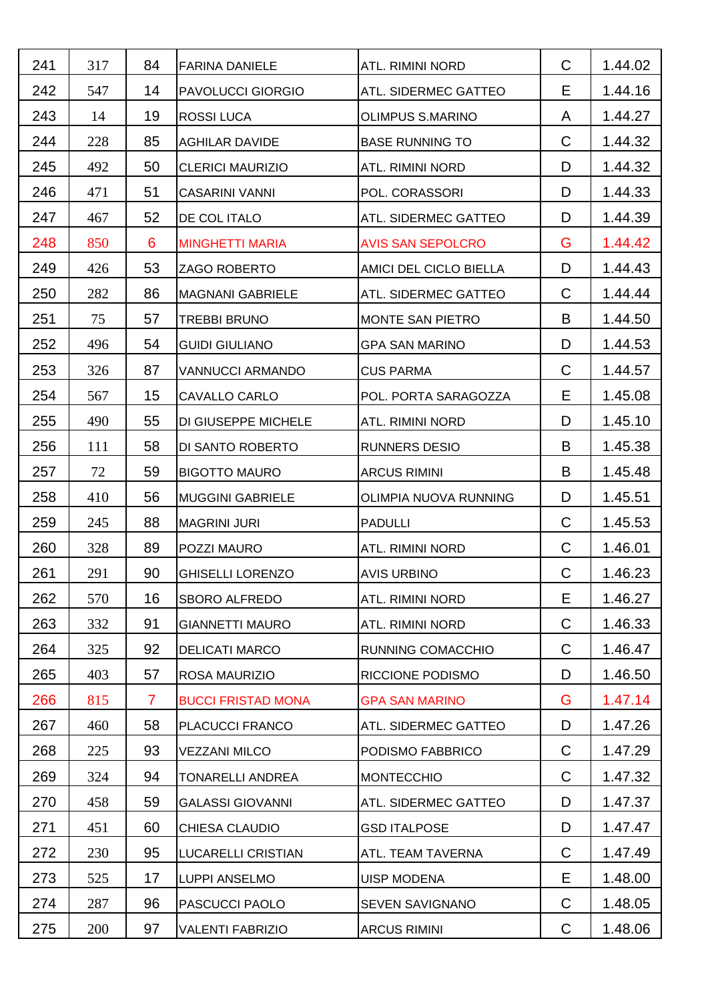| 241 | 317 | 84             | <b>FARINA DANIELE</b>     | ATL. RIMINI NORD         | $\mathsf{C}$ | 1.44.02 |
|-----|-----|----------------|---------------------------|--------------------------|--------------|---------|
| 242 | 547 | 14             | <b>PAVOLUCCI GIORGIO</b>  | ATL. SIDERMEC GATTEO     | Е            | 1.44.16 |
| 243 | 14  | 19             | <b>ROSSI LUCA</b>         | <b>OLIMPUS S.MARINO</b>  | A            | 1.44.27 |
| 244 | 228 | 85             | <b>AGHILAR DAVIDE</b>     | <b>BASE RUNNING TO</b>   | C            | 1.44.32 |
| 245 | 492 | 50             | <b>CLERICI MAURIZIO</b>   | <b>ATL. RIMINI NORD</b>  | D            | 1.44.32 |
| 246 | 471 | 51             | <b>CASARINI VANNI</b>     | POL. CORASSORI           | D            | 1.44.33 |
| 247 | 467 | 52             | DE COL ITALO              | ATL. SIDERMEC GATTEO     | D            | 1.44.39 |
| 248 | 850 | 6              | <b>MINGHETTI MARIA</b>    | <b>AVIS SAN SEPOLCRO</b> | G            | 1.44.42 |
| 249 | 426 | 53             | <b>ZAGO ROBERTO</b>       | AMICI DEL CICLO BIELLA   | D            | 1.44.43 |
| 250 | 282 | 86             | <b>MAGNANI GABRIELE</b>   | ATL. SIDERMEC GATTEO     | C            | 1.44.44 |
| 251 | 75  | 57             | <b>TREBBI BRUNO</b>       | MONTE SAN PIETRO         | B            | 1.44.50 |
| 252 | 496 | 54             | <b>GUIDI GIULIANO</b>     | <b>GPA SAN MARINO</b>    | D            | 1.44.53 |
| 253 | 326 | 87             | <b>VANNUCCI ARMANDO</b>   | <b>CUS PARMA</b>         | C            | 1.44.57 |
| 254 | 567 | 15             | CAVALLO CARLO             | POL. PORTA SARAGOZZA     | Е            | 1.45.08 |
| 255 | 490 | 55             | DI GIUSEPPE MICHELE       | ATL. RIMINI NORD         | D            | 1.45.10 |
| 256 | 111 | 58             | DI SANTO ROBERTO          | <b>RUNNERS DESIO</b>     | B            | 1.45.38 |
| 257 | 72  | 59             | <b>BIGOTTO MAURO</b>      | <b>ARCUS RIMINI</b>      | B            | 1.45.48 |
| 258 | 410 | 56             | <b>MUGGINI GABRIELE</b>   | OLIMPIA NUOVA RUNNING    | D            | 1.45.51 |
| 259 | 245 | 88             | <b>MAGRINI JURI</b>       | <b>PADULLI</b>           | C            | 1.45.53 |
| 260 | 328 | 89             | POZZI MAURO               | ATL. RIMINI NORD         | C            | 1.46.01 |
| 261 | 291 | 90             | <b>GHISELLI LORENZO</b>   | <b>AVIS URBINO</b>       | $\mathsf C$  | 1.46.23 |
| 262 | 570 | 16             | <b>SBORO ALFREDO</b>      | <b>ATL. RIMINI NORD</b>  | Е            | 1.46.27 |
| 263 | 332 | 91             | <b>GIANNETTI MAURO</b>    | ATL. RIMINI NORD         | $\mathsf C$  | 1.46.33 |
| 264 | 325 | 92             | <b>DELICATI MARCO</b>     | RUNNING COMACCHIO        | C            | 1.46.47 |
| 265 | 403 | 57             | ROSA MAURIZIO             | RICCIONE PODISMO         | D            | 1.46.50 |
| 266 | 815 | $\overline{7}$ | <b>BUCCI FRISTAD MONA</b> | <b>GPA SAN MARINO</b>    | G            | 1.47.14 |
| 267 | 460 | 58             | PLACUCCI FRANCO           | ATL. SIDERMEC GATTEO     | D            | 1.47.26 |
| 268 | 225 | 93             | <b>VEZZANI MILCO</b>      | PODISMO FABBRICO         | C            | 1.47.29 |
| 269 | 324 | 94             | TONARELLI ANDREA          | <b>MONTECCHIO</b>        | C            | 1.47.32 |
| 270 | 458 | 59             | <b>GALASSI GIOVANNI</b>   | ATL. SIDERMEC GATTEO     | D            | 1.47.37 |
| 271 | 451 | 60             | <b>CHIESA CLAUDIO</b>     | <b>GSD ITALPOSE</b>      | D            | 1.47.47 |
| 272 | 230 | 95             | <b>LUCARELLI CRISTIAN</b> | ATL. TEAM TAVERNA        | $\mathsf C$  | 1.47.49 |
| 273 | 525 | 17             | LUPPI ANSELMO             | <b>UISP MODENA</b>       | Е            | 1.48.00 |
| 274 | 287 | 96             | PASCUCCI PAOLO            | SEVEN SAVIGNANO          | C            | 1.48.05 |
| 275 | 200 | 97             | <b>VALENTI FABRIZIO</b>   | <b>ARCUS RIMINI</b>      | C            | 1.48.06 |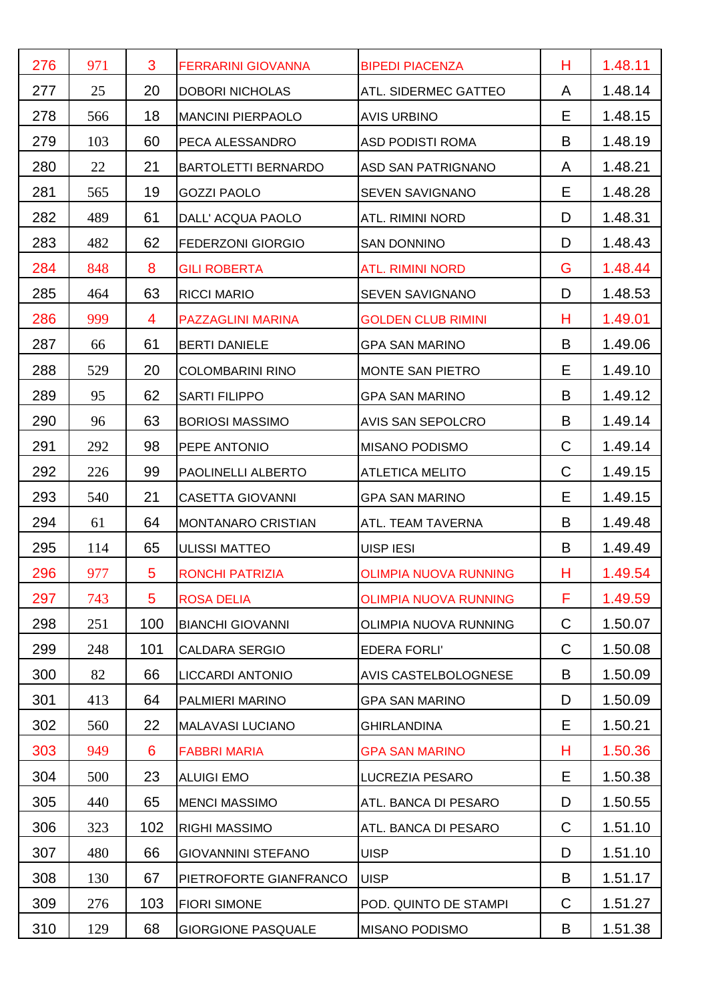| 276 | 971 | 3           | <b>FERRARINI GIOVANNA</b>  | <b>BIPEDI PIACENZA</b>       | н           | 1.48.11 |
|-----|-----|-------------|----------------------------|------------------------------|-------------|---------|
| 277 | 25  | 20          | <b>DOBORI NICHOLAS</b>     | ATL. SIDERMEC GATTEO         | A           | 1.48.14 |
| 278 | 566 | 18          | <b>MANCINI PIERPAOLO</b>   | <b>AVIS URBINO</b>           | Е           | 1.48.15 |
| 279 | 103 | 60          | PECA ALESSANDRO            | <b>ASD PODISTI ROMA</b>      | B           | 1.48.19 |
| 280 | 22  | 21          | <b>BARTOLETTI BERNARDO</b> | ASD SAN PATRIGNANO           | A           | 1.48.21 |
| 281 | 565 | 19          | <b>GOZZI PAOLO</b>         | SEVEN SAVIGNANO              | Е           | 1.48.28 |
| 282 | 489 | 61          | DALL' ACQUA PAOLO          | <b>ATL. RIMINI NORD</b>      | D           | 1.48.31 |
| 283 | 482 | 62          | <b>FEDERZONI GIORGIO</b>   | <b>SAN DONNINO</b>           | D           | 1.48.43 |
| 284 | 848 | 8           | <b>GILI ROBERTA</b>        | <b>ATL. RIMINI NORD</b>      | G           | 1.48.44 |
| 285 | 464 | 63          | <b>RICCI MARIO</b>         | SEVEN SAVIGNANO              | D           | 1.48.53 |
| 286 | 999 | 4           | <b>PAZZAGLINI MARINA</b>   | <b>GOLDEN CLUB RIMINI</b>    | н           | 1.49.01 |
| 287 | 66  | 61          | <b>BERTI DANIELE</b>       | <b>GPA SAN MARINO</b>        | B           | 1.49.06 |
| 288 | 529 | 20          | <b>COLOMBARINI RINO</b>    | <b>MONTE SAN PIETRO</b>      | Е           | 1.49.10 |
| 289 | 95  | 62          | <b>SARTI FILIPPO</b>       | <b>GPA SAN MARINO</b>        | B           | 1.49.12 |
| 290 | 96  | 63          | <b>BORIOSI MASSIMO</b>     | AVIS SAN SEPOLCRO            | B           | 1.49.14 |
| 291 | 292 | 98          | PEPE ANTONIO               | <b>MISANO PODISMO</b>        | C           | 1.49.14 |
| 292 | 226 | 99          | PAOLINELLI ALBERTO         | <b>ATLETICA MELITO</b>       | C           | 1.49.15 |
| 293 | 540 | 21          | <b>CASETTA GIOVANNI</b>    | <b>GPA SAN MARINO</b>        | Е           | 1.49.15 |
| 294 | 61  | 64          | <b>MONTANARO CRISTIAN</b>  | ATL. TEAM TAVERNA            | B           | 1.49.48 |
| 295 | 114 | 65          | <b>ULISSI MATTEO</b>       | UISP IESI                    | B           | 1.49.49 |
| 296 | 977 | 5           | <b>RONCHI PATRIZIA</b>     | <b>OLIMPIA NUOVA RUNNING</b> | н           | 1.49.54 |
| 297 | 743 | $5^{\circ}$ | <b>ROSA DELIA</b>          | <b>OLIMPIA NUOVA RUNNING</b> | F           | 1.49.59 |
| 298 | 251 | 100         | <b>BIANCHI GIOVANNI</b>    | OLIMPIA NUOVA RUNNING        | $\mathsf C$ | 1.50.07 |
| 299 | 248 | 101         | <b>CALDARA SERGIO</b>      | <b>EDERA FORLI'</b>          | C           | 1.50.08 |
| 300 | 82  | 66          | LICCARDI ANTONIO           | AVIS CASTELBOLOGNESE         | B           | 1.50.09 |
| 301 | 413 | 64          | PALMIERI MARINO            | <b>GPA SAN MARINO</b>        | D           | 1.50.09 |
| 302 | 560 | 22          | <b>MALAVASI LUCIANO</b>    | <b>GHIRLANDINA</b>           | Е           | 1.50.21 |
| 303 | 949 | 6           | <b>FABBRI MARIA</b>        | <b>GPA SAN MARINO</b>        | н           | 1.50.36 |
| 304 | 500 | 23          | <b>ALUIGI EMO</b>          | LUCREZIA PESARO              | Е           | 1.50.38 |
| 305 | 440 | 65          | <b>MENCI MASSIMO</b>       | ATL. BANCA DI PESARO         | D           | 1.50.55 |
| 306 | 323 | 102         | <b>RIGHI MASSIMO</b>       | ATL. BANCA DI PESARO         | C           | 1.51.10 |
| 307 | 480 | 66          | <b>GIOVANNINI STEFANO</b>  | <b>UISP</b>                  | D           | 1.51.10 |
| 308 | 130 | 67          | PIETROFORTE GIANFRANCO     | <b>UISP</b>                  | B           | 1.51.17 |
| 309 | 276 | 103         | <b>FIORI SIMONE</b>        | POD. QUINTO DE STAMPI        | C           | 1.51.27 |
| 310 | 129 | 68          | <b>GIORGIONE PASQUALE</b>  | <b>MISANO PODISMO</b>        | B           | 1.51.38 |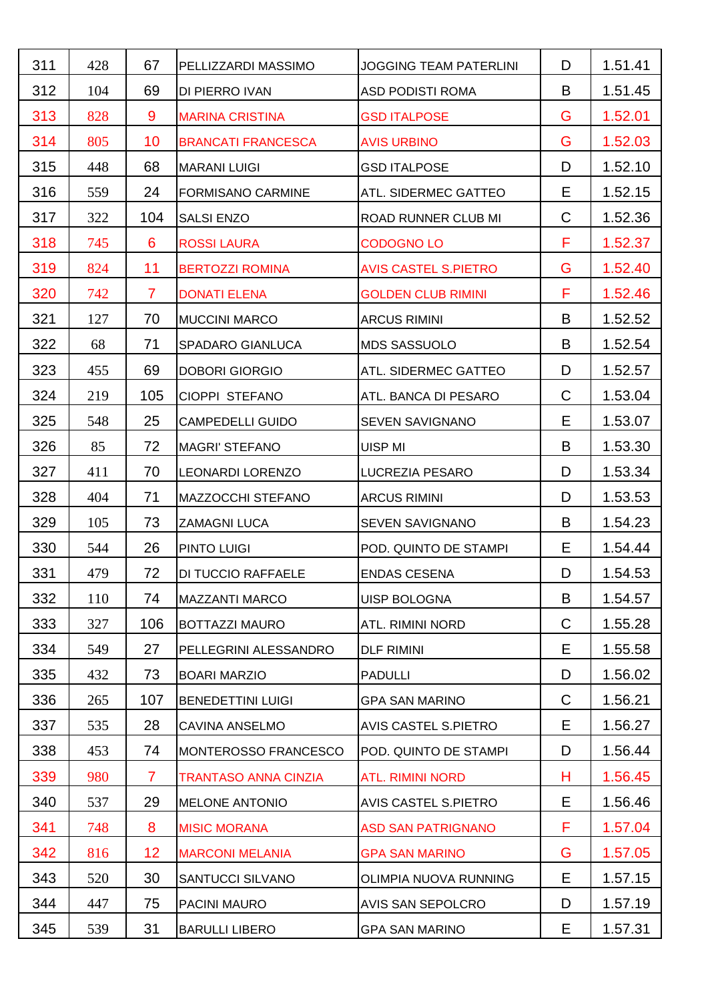| 311 | 428 | 67              | PELLIZZARDI MASSIMO         | <b>JOGGING TEAM PATERLINI</b> | D            | 1.51.41 |
|-----|-----|-----------------|-----------------------------|-------------------------------|--------------|---------|
| 312 | 104 | 69              | DI PIERRO IVAN              | <b>ASD PODISTI ROMA</b>       | B            | 1.51.45 |
| 313 | 828 | 9               | <b>MARINA CRISTINA</b>      | <b>GSD ITALPOSE</b>           | G            | 1.52.01 |
| 314 | 805 | 10              | <b>BRANCATI FRANCESCA</b>   | <b>AVIS URBINO</b>            | G            | 1.52.03 |
| 315 | 448 | 68              | <b>MARANI LUIGI</b>         | <b>GSD ITALPOSE</b>           | D            | 1.52.10 |
| 316 | 559 | 24              | <b>FORMISANO CARMINE</b>    | ATL. SIDERMEC GATTEO          | Е            | 1.52.15 |
| 317 | 322 | 104             | <b>SALSI ENZO</b>           | ROAD RUNNER CLUB MI           | $\mathsf{C}$ | 1.52.36 |
| 318 | 745 | 6               | <b>ROSSI LAURA</b>          | <b>CODOGNO LO</b>             | F            | 1.52.37 |
| 319 | 824 | 11              | <b>BERTOZZI ROMINA</b>      | <b>AVIS CASTEL S.PIETRO</b>   | G            | 1.52.40 |
| 320 | 742 | $\overline{7}$  | <b>DONATI ELENA</b>         | <b>GOLDEN CLUB RIMINI</b>     | F            | 1.52.46 |
| 321 | 127 | 70              | <b>MUCCINI MARCO</b>        | <b>ARCUS RIMINI</b>           | B            | 1.52.52 |
| 322 | 68  | 71              | SPADARO GIANLUCA            | <b>MDS SASSUOLO</b>           | B            | 1.52.54 |
| 323 | 455 | 69              | <b>DOBORI GIORGIO</b>       | ATL. SIDERMEC GATTEO          | D            | 1.52.57 |
| 324 | 219 | 105             | CIOPPI STEFANO              | ATL. BANCA DI PESARO          | C            | 1.53.04 |
| 325 | 548 | 25              | <b>CAMPEDELLI GUIDO</b>     | <b>SEVEN SAVIGNANO</b>        | E            | 1.53.07 |
| 326 | 85  | 72              | <b>MAGRI' STEFANO</b>       | <b>UISP MI</b>                | B            | 1.53.30 |
| 327 | 411 | 70              | <b>LEONARDI LORENZO</b>     | LUCREZIA PESARO               | D            | 1.53.34 |
| 328 | 404 | 71              | <b>MAZZOCCHI STEFANO</b>    | <b>ARCUS RIMINI</b>           | D            | 1.53.53 |
| 329 | 105 | 73              | <b>ZAMAGNI LUCA</b>         | <b>SEVEN SAVIGNANO</b>        | B            | 1.54.23 |
| 330 | 544 | 26              | <b>PINTO LUIGI</b>          | POD. QUINTO DE STAMPI         | Е            | 1.54.44 |
| 331 | 479 | 72              | <b>DI TUCCIO RAFFAELE</b>   | <b>ENDAS CESENA</b>           | D            | 1.54.53 |
| 332 | 110 | 74              | <b>MAZZANTI MARCO</b>       | <b>UISP BOLOGNA</b>           | B            | 1.54.57 |
| 333 | 327 | 106             | <b>BOTTAZZI MAURO</b>       | ATL. RIMINI NORD              | C            | 1.55.28 |
| 334 | 549 | 27              | PELLEGRINI ALESSANDRO       | <b>DLF RIMINI</b>             | Е            | 1.55.58 |
| 335 | 432 | 73              | <b>BOARI MARZIO</b>         | <b>PADULLI</b>                | D            | 1.56.02 |
| 336 | 265 | 107             | <b>BENEDETTINI LUIGI</b>    | <b>GPA SAN MARINO</b>         | $\mathsf C$  | 1.56.21 |
| 337 | 535 | 28              | CAVINA ANSELMO              | <b>AVIS CASTEL S.PIETRO</b>   | Е            | 1.56.27 |
| 338 | 453 | 74              | MONTEROSSO FRANCESCO        | POD. QUINTO DE STAMPI         | D            | 1.56.44 |
| 339 | 980 | $\overline{7}$  | <b>TRANTASO ANNA CINZIA</b> | <b>ATL. RIMINI NORD</b>       | н            | 1.56.45 |
| 340 | 537 | 29              | <b>MELONE ANTONIO</b>       | AVIS CASTEL S.PIETRO          | Е            | 1.56.46 |
| 341 | 748 | 8               | <b>MISIC MORANA</b>         | <b>ASD SAN PATRIGNANO</b>     | F            | 1.57.04 |
| 342 | 816 | 12 <sub>2</sub> | <b>MARCONI MELANIA</b>      | <b>GPA SAN MARINO</b>         | G            | 1.57.05 |
| 343 | 520 | 30              | SANTUCCI SILVANO            | OLIMPIA NUOVA RUNNING         | Е            | 1.57.15 |
| 344 | 447 | 75              | PACINI MAURO                | AVIS SAN SEPOLCRO             | D            | 1.57.19 |
| 345 | 539 | 31              | <b>BARULLI LIBERO</b>       | <b>GPA SAN MARINO</b>         | Е            | 1.57.31 |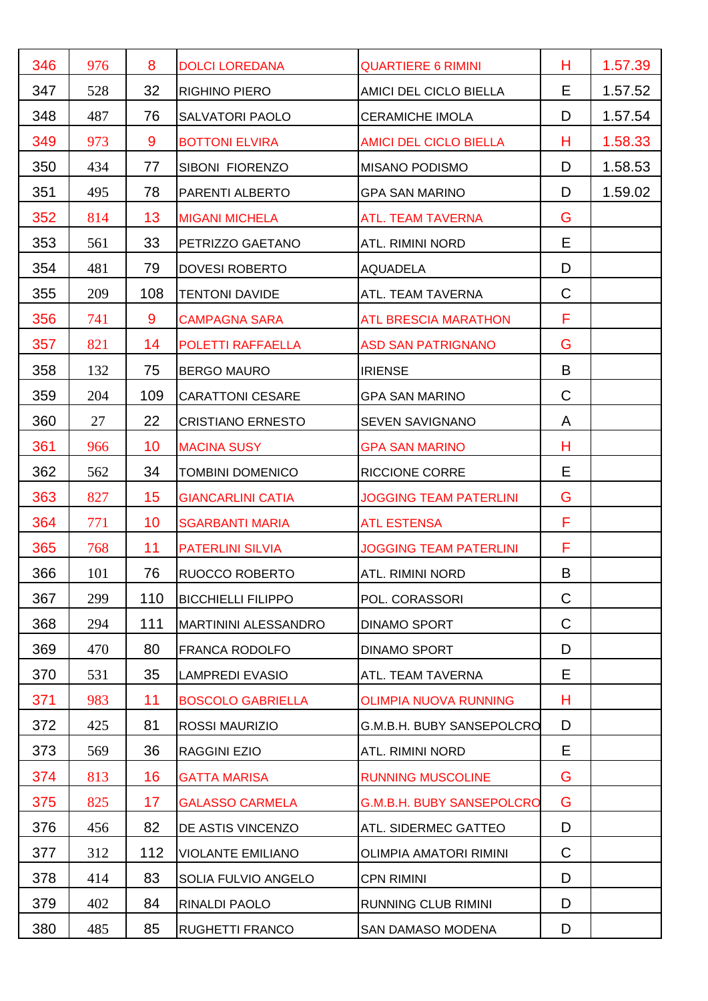| 346 | 976 | 8   | <b>DOLCI LOREDANA</b>       | <b>QUARTIERE 6 RIMINI</b>        | н | 1.57.39 |
|-----|-----|-----|-----------------------------|----------------------------------|---|---------|
| 347 | 528 | 32  | <b>RIGHINO PIERO</b>        | AMICI DEL CICLO BIELLA           | Е | 1.57.52 |
| 348 | 487 | 76  | <b>SALVATORI PAOLO</b>      | <b>CERAMICHE IMOLA</b>           | D | 1.57.54 |
| 349 | 973 | 9   | <b>BOTTONI ELVIRA</b>       | <b>AMICI DEL CICLO BIELLA</b>    | н | 1.58.33 |
| 350 | 434 | 77  | SIBONI FIORENZO             | <b>MISANO PODISMO</b>            | D | 1.58.53 |
| 351 | 495 | 78  | PARENTI ALBERTO             | <b>GPA SAN MARINO</b>            | D | 1.59.02 |
| 352 | 814 | 13  | <b>MIGANI MICHELA</b>       | <b>ATL. TEAM TAVERNA</b>         | G |         |
| 353 | 561 | 33  | PETRIZZO GAETANO            | ATL. RIMINI NORD                 | Е |         |
| 354 | 481 | 79  | <b>DOVESI ROBERTO</b>       | <b>AQUADELA</b>                  | D |         |
| 355 | 209 | 108 | <b>TENTONI DAVIDE</b>       | ATL. TEAM TAVERNA                | C |         |
| 356 | 741 | 9   | <b>CAMPAGNA SARA</b>        | <b>ATL BRESCIA MARATHON</b>      | F |         |
| 357 | 821 | 14  | POLETTI RAFFAELLA           | <b>ASD SAN PATRIGNANO</b>        | G |         |
| 358 | 132 | 75  | <b>BERGO MAURO</b>          | <b>IRIENSE</b>                   | B |         |
| 359 | 204 | 109 | <b>CARATTONI CESARE</b>     | <b>GPA SAN MARINO</b>            | C |         |
| 360 | 27  | 22  | <b>CRISTIANO ERNESTO</b>    | <b>SEVEN SAVIGNANO</b>           | A |         |
| 361 | 966 | 10  | <b>MACINA SUSY</b>          | <b>GPA SAN MARINO</b>            | Н |         |
| 362 | 562 | 34  | <b>TOMBINI DOMENICO</b>     | <b>RICCIONE CORRE</b>            | Е |         |
| 363 | 827 | 15  | <b>GIANCARLINI CATIA</b>    | <b>JOGGING TEAM PATERLINI</b>    | G |         |
| 364 | 771 | 10  | <b>SGARBANTI MARIA</b>      | <b>ATL ESTENSA</b>               | F |         |
| 365 | 768 | 11  | <b>PATERLINI SILVIA</b>     | <b>JOGGING TEAM PATERLINI</b>    | F |         |
| 366 | 101 | 76  | RUOCCO ROBERTO              | <b>ATL. RIMINI NORD</b>          | B |         |
| 367 | 299 | 110 | <b>BICCHIELLI FILIPPO</b>   | POL. CORASSORI                   | C |         |
| 368 | 294 | 111 | <b>MARTININI ALESSANDRO</b> | <b>DINAMO SPORT</b>              | C |         |
| 369 | 470 | 80  | FRANCA RODOLFO              | <b>DINAMO SPORT</b>              | D |         |
| 370 | 531 | 35  | <b>LAMPREDI EVASIO</b>      | ATL. TEAM TAVERNA                | Е |         |
| 371 | 983 | 11  | <b>BOSCOLO GABRIELLA</b>    | <b>OLIMPIA NUOVA RUNNING</b>     | н |         |
| 372 | 425 | 81  | <b>ROSSI MAURIZIO</b>       | G.M.B.H. BUBY SANSEPOLCRO        | D |         |
| 373 | 569 | 36  | RAGGINI EZIO                | ATL. RIMINI NORD                 | Е |         |
| 374 | 813 | 16  | <b>GATTA MARISA</b>         | <b>RUNNING MUSCOLINE</b>         | G |         |
| 375 | 825 | 17  | <b>GALASSO CARMELA</b>      | <b>G.M.B.H. BUBY SANSEPOLCRO</b> | G |         |
| 376 | 456 | 82  | DE ASTIS VINCENZO           | ATL. SIDERMEC GATTEO             | D |         |
| 377 | 312 | 112 | <b>VIOLANTE EMILIANO</b>    | <b>OLIMPIA AMATORI RIMINI</b>    | C |         |
| 378 | 414 | 83  | SOLIA FULVIO ANGELO         | <b>CPN RIMINI</b>                | D |         |
| 379 | 402 | 84  | RINALDI PAOLO               | RUNNING CLUB RIMINI              | D |         |
| 380 | 485 | 85  | RUGHETTI FRANCO             | SAN DAMASO MODENA                | D |         |